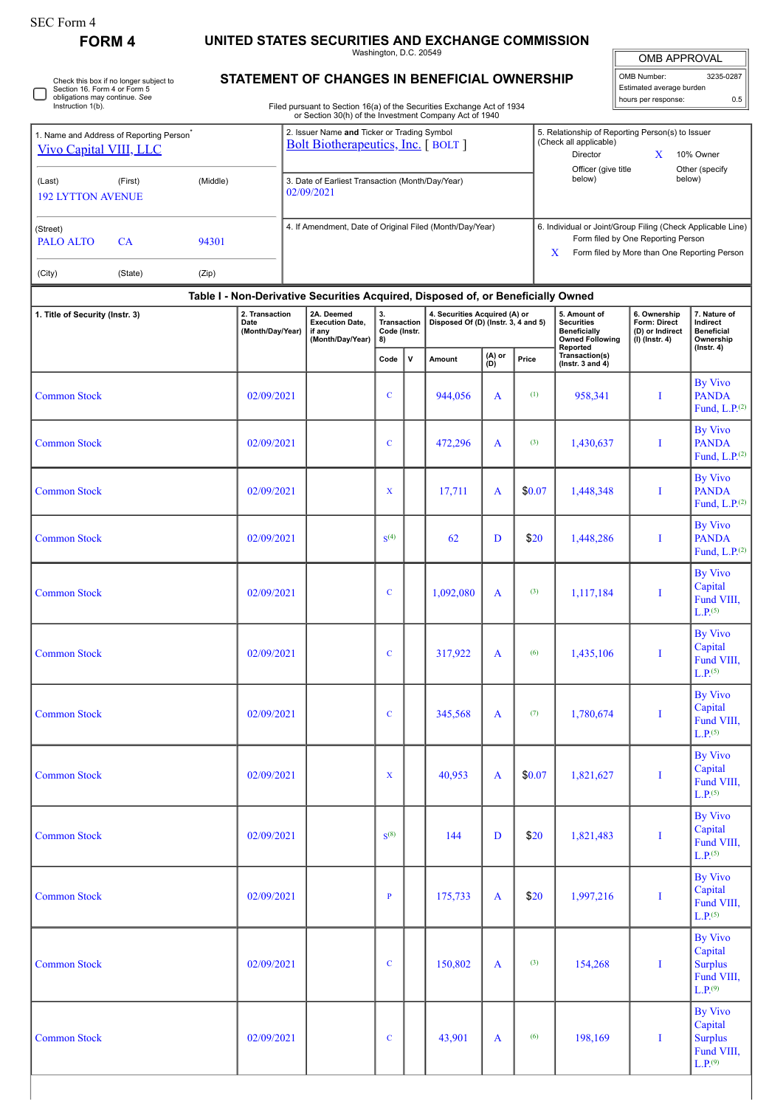| SEC Form 4 |  |
|------------|--|
|------------|--|

**FORM 4 UNITED STATES SECURITIES AND EXCHANGE COMMISSION**

 $L.P^{(9)}$ 

|                                                                                                         |          |            |                                                          |                                                                                                                                  | Washington, D.C. 20549                  |                                                                    |                                                                      |                                                                                                                                                   |        |                                                                                                | <b>OMB APPROVAL</b>                                                 |                                                                                    |
|---------------------------------------------------------------------------------------------------------|----------|------------|----------------------------------------------------------|----------------------------------------------------------------------------------------------------------------------------------|-----------------------------------------|--------------------------------------------------------------------|----------------------------------------------------------------------|---------------------------------------------------------------------------------------------------------------------------------------------------|--------|------------------------------------------------------------------------------------------------|---------------------------------------------------------------------|------------------------------------------------------------------------------------|
| Check this box if no longer subject to<br>Section 16. Form 4 or Form 5<br>obligations may continue. See |          |            |                                                          | STATEMENT OF CHANGES IN BENEFICIAL OWNERSHIP                                                                                     |                                         |                                                                    |                                                                      |                                                                                                                                                   |        |                                                                                                | OMB Number:<br>Estimated average burden<br>hours per response:      | 3235-0287<br>0.5                                                                   |
| Instruction 1(b).                                                                                       |          |            |                                                          | Filed pursuant to Section 16(a) of the Securities Exchange Act of 1934<br>or Section 30(h) of the Investment Company Act of 1940 |                                         |                                                                    |                                                                      |                                                                                                                                                   |        |                                                                                                |                                                                     |                                                                                    |
| 1. Name and Address of Reporting Person <sup>®</sup><br><b>Vivo Capital VIII, LLC</b>                   |          |            |                                                          | 2. Issuer Name and Ticker or Trading Symbol<br><b>Bolt Biotherapeutics, Inc.</b> [BOLT]                                          | (Check all applicable)<br>Director      | 5. Relationship of Reporting Person(s) to Issuer<br>X<br>10% Owner |                                                                      |                                                                                                                                                   |        |                                                                                                |                                                                     |                                                                                    |
| (First)<br>(Last)<br><b>192 LYTTON AVENUE</b>                                                           | (Middle) |            |                                                          | 3. Date of Earliest Transaction (Month/Day/Year)<br>02/09/2021                                                                   |                                         | Officer (give title<br>below)                                      | Other (specify<br>below)                                             |                                                                                                                                                   |        |                                                                                                |                                                                     |                                                                                    |
| (Street)<br><b>PALO ALTO</b><br>CA                                                                      |          |            | 4. If Amendment, Date of Original Filed (Month/Day/Year) |                                                                                                                                  |                                         |                                                                    | X                                                                    | 6. Individual or Joint/Group Filing (Check Applicable Line)<br>Form filed by One Reporting Person<br>Form filed by More than One Reporting Person |        |                                                                                                |                                                                     |                                                                                    |
| (State)<br>(City)                                                                                       | (Zip)    |            |                                                          |                                                                                                                                  |                                         |                                                                    |                                                                      |                                                                                                                                                   |        |                                                                                                |                                                                     |                                                                                    |
|                                                                                                         |          |            |                                                          | Table I - Non-Derivative Securities Acquired, Disposed of, or Beneficially Owned                                                 |                                         |                                                                    |                                                                      |                                                                                                                                                   |        |                                                                                                |                                                                     |                                                                                    |
| 2. Transaction<br>1. Title of Security (Instr. 3)<br>Date<br>(Month/Day/Year)                           |          |            |                                                          | 2A. Deemed<br><b>Execution Date.</b><br>if any<br>(Month/Day/Year)                                                               | 3.<br>Transaction<br>Code (Instr.<br>8) |                                                                    | 4. Securities Acquired (A) or<br>Disposed Of (D) (Instr. 3, 4 and 5) |                                                                                                                                                   |        | 5. Amount of<br><b>Securities</b><br><b>Beneficially</b><br><b>Owned Following</b><br>Reported | 6. Ownership<br>Form: Direct<br>(D) or Indirect<br>$(l)$ (lnstr. 4) | 7. Nature of<br>Indirect<br><b>Beneficial</b><br>Ownership                         |
|                                                                                                         |          |            |                                                          |                                                                                                                                  | Code                                    | v                                                                  | Amount                                                               | (A) or<br>(D)                                                                                                                                     | Price  | Transaction(s)<br>(Instr. $3$ and $4$ )                                                        |                                                                     | $($ Instr. 4 $)$                                                                   |
| <b>Common Stock</b>                                                                                     |          | 02/09/2021 |                                                          |                                                                                                                                  | $\mathbf C$                             |                                                                    | 944,056                                                              | A                                                                                                                                                 | (1)    | 958,341                                                                                        | I                                                                   | <b>By Vivo</b><br><b>PANDA</b><br>Fund, $L.P(2)$                                   |
| <b>Common Stock</b>                                                                                     |          | 02/09/2021 |                                                          |                                                                                                                                  | $\mathbf C$                             |                                                                    | 472,296                                                              | A                                                                                                                                                 | (3)    | 1,430,637                                                                                      | Ī                                                                   | By Vivo<br><b>PANDA</b><br>Fund, $L.P(2)$                                          |
| <b>Common Stock</b>                                                                                     |          | 02/09/2021 |                                                          |                                                                                                                                  | X                                       |                                                                    | 17,711                                                               | A                                                                                                                                                 | \$0.07 | 1,448,348                                                                                      | Ī                                                                   | <b>By Vivo</b><br><b>PANDA</b><br>Fund, $L.P(2)$                                   |
| <b>Common Stock</b>                                                                                     |          | 02/09/2021 |                                                          |                                                                                                                                  | S <sup>(4)</sup>                        |                                                                    | 62                                                                   | D                                                                                                                                                 | \$20   | 1,448,286                                                                                      | I                                                                   | <b>By Vivo</b><br><b>PANDA</b><br>Fund, $L.P(2)$                                   |
| <b>Common Stock</b>                                                                                     |          | 02/09/2021 |                                                          |                                                                                                                                  | $\mathbf C$                             |                                                                    | 1,092,080                                                            | A                                                                                                                                                 | (3)    | 1,117,184                                                                                      | I                                                                   | <b>By Vivo</b><br>Capital<br>Fund VIII,<br>L.P. <sup>(5)</sup>                     |
| <b>Common Stock</b>                                                                                     |          | 02/09/2021 |                                                          |                                                                                                                                  | $\mathbf C$                             |                                                                    | 317,922                                                              | A                                                                                                                                                 | (6)    | 1,435,106                                                                                      | $\bf{I}$                                                            | <b>By Vivo</b><br>Capital<br>Fund VIII,<br>L.P. <sup>(5)</sup>                     |
| <b>Common Stock</b>                                                                                     |          | 02/09/2021 |                                                          |                                                                                                                                  | $\mathbf C$                             |                                                                    | 345,568                                                              | A                                                                                                                                                 | (7)    | 1,780,674                                                                                      | $\bf{I}$                                                            | <b>By Vivo</b><br>Capital<br>Fund VIII,<br>L.P <sup>(5)</sup>                      |
| <b>Common Stock</b>                                                                                     |          | 02/09/2021 |                                                          |                                                                                                                                  | $\mathbf x$                             |                                                                    | 40,953                                                               | A                                                                                                                                                 | \$0.07 | 1,821,627                                                                                      | $\bf{I}$                                                            | <b>By Vivo</b><br>Capital<br>Fund VIII,<br>L.P. <sup>(5)</sup>                     |
| <b>Common Stock</b>                                                                                     |          | 02/09/2021 |                                                          |                                                                                                                                  | $S^{(8)}$                               |                                                                    | 144                                                                  | D                                                                                                                                                 | \$20   | 1,821,483                                                                                      | $\bf{I}$                                                            | <b>By Vivo</b><br>Capital<br>Fund VIII,<br>L.P. <sup>(5)</sup>                     |
| <b>Common Stock</b>                                                                                     |          | 02/09/2021 |                                                          |                                                                                                                                  | $\, {\bf p}$                            |                                                                    | 175,733                                                              | A                                                                                                                                                 | \$20   | 1,997,216                                                                                      | $\bf{I}$                                                            | <b>By Vivo</b><br>Capital<br>Fund VIII,<br>L.P. <sup>(5)</sup>                     |
| <b>Common Stock</b>                                                                                     |          | 02/09/2021 |                                                          |                                                                                                                                  | $\mathbf C$                             |                                                                    | 150,802                                                              | A                                                                                                                                                 | (3)    | 154,268                                                                                        | $\bf{I}$                                                            | <b>By Vivo</b><br>Capital<br><b>Surplus</b><br>Fund VIII,<br>$L.P.$ <sup>(9)</sup> |
| <b>Common Stock</b>                                                                                     |          | 02/09/2021 |                                                          |                                                                                                                                  | $\mathbf C$                             |                                                                    | 43,901                                                               | A                                                                                                                                                 | (6)    | 198,169                                                                                        | Ι                                                                   | <b>By Vivo</b><br>Capital<br><b>Surplus</b><br>Fund VIII,                          |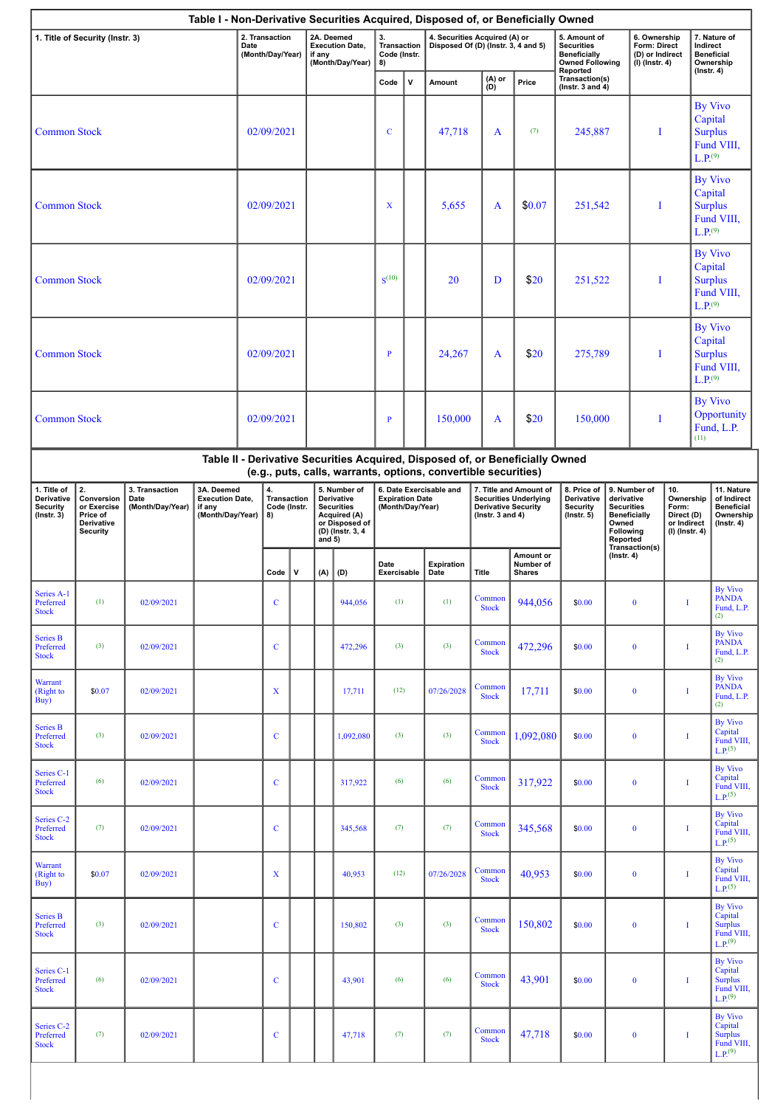| Table I - Non-Derivative Securities Acquired, Disposed of, or Beneficially Owned |                                                                              |                                            |                                                                    |            |                                         |              |          |                                                                                                       |                                            |              |                                                                      |                                                    |                                                                               |                                                                                                                                                                                                                                                          |                                                                                 |                                                                     |                                                                                    |                                                                                    |
|----------------------------------------------------------------------------------|------------------------------------------------------------------------------|--------------------------------------------|--------------------------------------------------------------------|------------|-----------------------------------------|--------------|----------|-------------------------------------------------------------------------------------------------------|--------------------------------------------|--------------|----------------------------------------------------------------------|----------------------------------------------------|-------------------------------------------------------------------------------|----------------------------------------------------------------------------------------------------------------------------------------------------------------------------------------------------------------------------------------------------------|---------------------------------------------------------------------------------|---------------------------------------------------------------------|------------------------------------------------------------------------------------|------------------------------------------------------------------------------------|
|                                                                                  | 1. Title of Security (Instr. 3)                                              |                                            | 2. Transaction<br>Date<br>(Month/Day/Year)                         |            |                                         |              | if any   | 2A. Deemed<br><b>Execution Date,</b><br>(Month/Day/Year)                                              | 3.<br>Transaction<br>Code (Instr.<br>8)    |              | 4. Securities Acquired (A) or<br>Disposed Of (D) (Instr. 3, 4 and 5) |                                                    |                                                                               | 5. Amount of<br><b>Securities</b><br><b>Beneficially</b><br><b>Owned Following</b><br>Reported                                                                                                                                                           |                                                                                 | 6. Ownership<br>Form: Direct<br>(D) or Indirect<br>$(I)$ (Instr. 4) |                                                                                    | 7. Nature of<br>Indirect<br><b>Beneficial</b><br>Ownership<br>$($ Instr. 4 $)$     |
|                                                                                  |                                                                              |                                            |                                                                    |            |                                         |              |          |                                                                                                       | Code                                       | $\mathbf{v}$ | Amount                                                               | (A) or<br>(D)                                      | Price                                                                         | Transaction(s)<br>(Instr. $3$ and $4$ )                                                                                                                                                                                                                  |                                                                                 |                                                                     |                                                                                    |                                                                                    |
|                                                                                  | <b>Common Stock</b>                                                          |                                            |                                                                    | 02/09/2021 |                                         |              |          |                                                                                                       | $\mathbf C$                                |              | 47,718                                                               | A                                                  | (7)                                                                           | 245,887                                                                                                                                                                                                                                                  |                                                                                 | Ι                                                                   | <b>By Vivo</b><br>Capital<br><b>Surplus</b><br>$L.P.$ <sup>(9)</sup>               | Fund VIII,                                                                         |
| <b>Common Stock</b>                                                              |                                                                              |                                            |                                                                    |            | 02/09/2021                              |              |          |                                                                                                       | $\mathbf x$                                |              | 5,655                                                                | A                                                  | \$0.07                                                                        | 251,542                                                                                                                                                                                                                                                  | By Vivo<br>Capital<br><b>Surplus</b><br>Ι.<br>Fund VIII,<br>L.P. <sup>(9)</sup> |                                                                     |                                                                                    |                                                                                    |
| <b>Common Stock</b>                                                              |                                                                              |                                            |                                                                    |            | 02/09/2021                              |              |          |                                                                                                       | S <sup>(10)</sup>                          |              | 20                                                                   | D                                                  | \$20                                                                          | 251,522<br>I                                                                                                                                                                                                                                             |                                                                                 |                                                                     | <b>By Vivo</b><br>Capital<br><b>Surplus</b><br>Fund VIII,<br>$L.P.$ <sup>(9)</sup> |                                                                                    |
| <b>Common Stock</b>                                                              |                                                                              |                                            |                                                                    |            | 02/09/2021                              |              |          |                                                                                                       | $\mathbf{P}$                               |              | 24,267                                                               | A                                                  | \$20                                                                          | 275,789                                                                                                                                                                                                                                                  | I                                                                               |                                                                     | <b>By Vivo</b><br>Capital<br><b>Surplus</b><br>Fund VIII,<br>$L.P.$ <sup>(9)</sup> |                                                                                    |
| <b>Common Stock</b>                                                              |                                                                              |                                            |                                                                    |            | 02/09/2021                              |              |          |                                                                                                       | $\mathbf{P}$                               |              | 150,000                                                              | A                                                  | \$20                                                                          |                                                                                                                                                                                                                                                          | 150,000<br>Ι                                                                    |                                                                     | <b>By Vivo</b><br>Opportunity<br>Fund, L.P.<br>(11)                                |                                                                                    |
|                                                                                  |                                                                              |                                            |                                                                    |            |                                         |              |          |                                                                                                       |                                            |              | (e.g., puts, calls, warrants, options, convertible securities)       |                                                    | Table II - Derivative Securities Acquired, Disposed of, or Beneficially Owned |                                                                                                                                                                                                                                                          |                                                                                 |                                                                     |                                                                                    |                                                                                    |
| 1. Title of<br>Derivative<br><b>Security</b><br>$($ Instr. 3 $)$                 | 2.<br>Conversion<br>or Exercise<br>Price of<br>Derivative<br><b>Security</b> | 3. Transaction<br>Date<br>(Month/Day/Year) | 3A. Deemed<br><b>Execution Date,</b><br>if any<br>(Month/Day/Year) |            | 4.<br>Transaction<br>Code (Instr.<br>8) |              | and $5)$ | 5. Number of<br>Derivative<br><b>Securities</b><br>Acquired (A)<br>or Disposed of<br>(D) (Instr. 3, 4 | <b>Expiration Date</b><br>(Month/Day/Year) |              | 6. Date Exercisable and                                              | <b>Derivative Security</b><br>( $lnstr. 3 and 4$ ) | 7. Title and Amount of<br><b>Securities Underlying</b>                        | 8. Price of<br>9. Number of<br>10.<br>Ownership<br>Derivative<br>derivative<br><b>Security</b><br><b>Securities</b><br>Form:<br><b>Beneficially</b><br>$($ Instr. 5 $)$<br>Direct (D)<br>Owned<br>or Indirect<br>Following<br>(I) (Instr. 4)<br>Reported |                                                                                 |                                                                     |                                                                                    | 11. Nature<br>of Indirect<br><b>Beneficial</b><br>Ownership<br>$($ Instr. 4 $)$    |
|                                                                                  |                                                                              |                                            |                                                                    |            | Code                                    | $\mathsf{v}$ | (A)      | (D)                                                                                                   | Date<br>Exercisable                        |              | Expiration<br>Date                                                   | <b>Title</b>                                       | Amount or<br>Number of<br><b>Shares</b>                                       |                                                                                                                                                                                                                                                          | Transaction(s)<br>$($ Instr. 4 $)$                                              |                                                                     |                                                                                    |                                                                                    |
| Series A-1<br>Preferred<br><b>Stock</b>                                          | (1)                                                                          | 02/09/2021                                 |                                                                    |            | $\mathbf{C}$                            |              |          | 944,056                                                                                               | (1)                                        |              | (1)                                                                  | Common<br><b>Stock</b>                             | 944,056                                                                       | \$0.00                                                                                                                                                                                                                                                   | $\bf{0}$                                                                        | $\bf{I}$                                                            |                                                                                    | By Vivo<br><b>PANDA</b><br>Fund, L.P.<br>(2)                                       |
| Series B<br>Preferred<br><b>Stock</b>                                            | (3)                                                                          | 02/09/2021                                 |                                                                    |            | $\mathbf C$                             |              |          | 472,296                                                                                               | (3)                                        |              | (3)                                                                  | Common<br><b>Stock</b>                             | 472,296                                                                       | \$0.00                                                                                                                                                                                                                                                   | $\bf{0}$                                                                        | I                                                                   |                                                                                    | <b>By Vivo</b><br><b>PANDA</b><br>Fund, L.P.<br>(2)                                |
| Warrant<br>(Right to<br>Buy)                                                     | \$0.07                                                                       | 02/09/2021                                 |                                                                    |            | $\mathbf X$                             |              |          | 17,711                                                                                                | (12)                                       |              | 07/26/2028                                                           | Common<br><b>Stock</b>                             | 17,711                                                                        | \$0.00                                                                                                                                                                                                                                                   | $\bf{0}$                                                                        | I                                                                   |                                                                                    | <b>By Vivo</b><br><b>PANDA</b><br>Fund, L.P.<br>(2)                                |
| <b>Series B</b><br>Preferred<br><b>Stock</b>                                     | (3)                                                                          | 02/09/2021                                 |                                                                    |            | $\mathbf C$                             |              |          | 1,092,080                                                                                             | (3)                                        |              | (3)                                                                  | Common<br><b>Stock</b>                             | 1,092,080                                                                     | \$0.00                                                                                                                                                                                                                                                   | $\bf{0}$                                                                        | 1                                                                   |                                                                                    | <b>By Vivo</b><br>Capital<br>Fund VIII,<br>$L P^{(5)}$                             |
| Series C-1<br>Preferred<br><b>Stock</b>                                          | (6)                                                                          | 02/09/2021                                 |                                                                    |            | $\mathbf C$                             |              |          | 317,922                                                                                               | (6)                                        |              | (6)                                                                  | Common<br><b>Stock</b>                             | 317,922                                                                       | \$0.00                                                                                                                                                                                                                                                   | $\bf{0}$                                                                        | I                                                                   |                                                                                    | <b>By Vivo</b><br>Capital<br>Fund VIII,<br>$L.P.$ <sup>(5)</sup>                   |
| Series C-2<br>Preferred<br><b>Stock</b>                                          | (7)                                                                          | 02/09/2021                                 |                                                                    |            | $\mathbf C$                             |              |          | 345,568                                                                                               | (7)                                        |              | (7)                                                                  | Common<br><b>Stock</b>                             | 345,568                                                                       | \$0.00                                                                                                                                                                                                                                                   | $\bf{0}$                                                                        | I                                                                   |                                                                                    | <b>By Vivo</b><br>Capital<br>Fund VIII,<br>L.P <sup>(5)</sup>                      |
| Warrant<br>(Right to<br>Buy)                                                     | \$0.07                                                                       | 02/09/2021                                 |                                                                    |            | X                                       |              |          | 40,953                                                                                                | (12)                                       |              | 07/26/2028                                                           | Common<br><b>Stock</b>                             | 40,953                                                                        | \$0.00                                                                                                                                                                                                                                                   | $\bf{0}$                                                                        | I                                                                   |                                                                                    | <b>By Vivo</b><br>Capital<br>Fund VIII,<br>L.P <sup>(5)</sup>                      |
| <b>Series B</b><br>Preferred<br><b>Stock</b>                                     | (3)                                                                          | 02/09/2021                                 |                                                                    |            | $\mathbf C$                             |              |          | 150,802                                                                                               | (3)                                        |              | (3)                                                                  | Common<br><b>Stock</b>                             | 150,802                                                                       | \$0.00                                                                                                                                                                                                                                                   | $\bf{0}$                                                                        | 1                                                                   |                                                                                    | <b>By Vivo</b><br>Capital<br><b>Surplus</b><br>Fund VIII,<br>$L.P.^{(9)}$          |
| Series C-1<br>Preferred<br><b>Stock</b>                                          | (6)                                                                          | 02/09/2021                                 |                                                                    |            | $\mathbf C$                             |              |          | 43,901                                                                                                | (6)                                        |              | (6)                                                                  | Common<br><b>Stock</b>                             | 43,901                                                                        | \$0.00                                                                                                                                                                                                                                                   | $\bf{0}$                                                                        | I                                                                   |                                                                                    | <b>By Vivo</b><br>Capital<br><b>Surplus</b><br>Fund VIII,<br>$L.P.$ <sup>(9)</sup> |
| Series C-2<br>Preferred<br><b>Stock</b>                                          | (7)                                                                          | 02/09/2021                                 |                                                                    |            | $\mathbf C$                             |              |          | 47,718                                                                                                | (7)                                        |              | (7)                                                                  | Common<br><b>Stock</b>                             | 47,718                                                                        | \$0.00                                                                                                                                                                                                                                                   | $\bf{0}$                                                                        | 1                                                                   |                                                                                    | <b>By Vivo</b><br>Capital<br><b>Surplus</b><br>Fund VIII,<br>$L.P.$ <sup>(9)</sup> |
|                                                                                  |                                                                              |                                            |                                                                    |            |                                         |              |          |                                                                                                       |                                            |              |                                                                      |                                                    |                                                                               |                                                                                                                                                                                                                                                          |                                                                                 |                                                                     |                                                                                    |                                                                                    |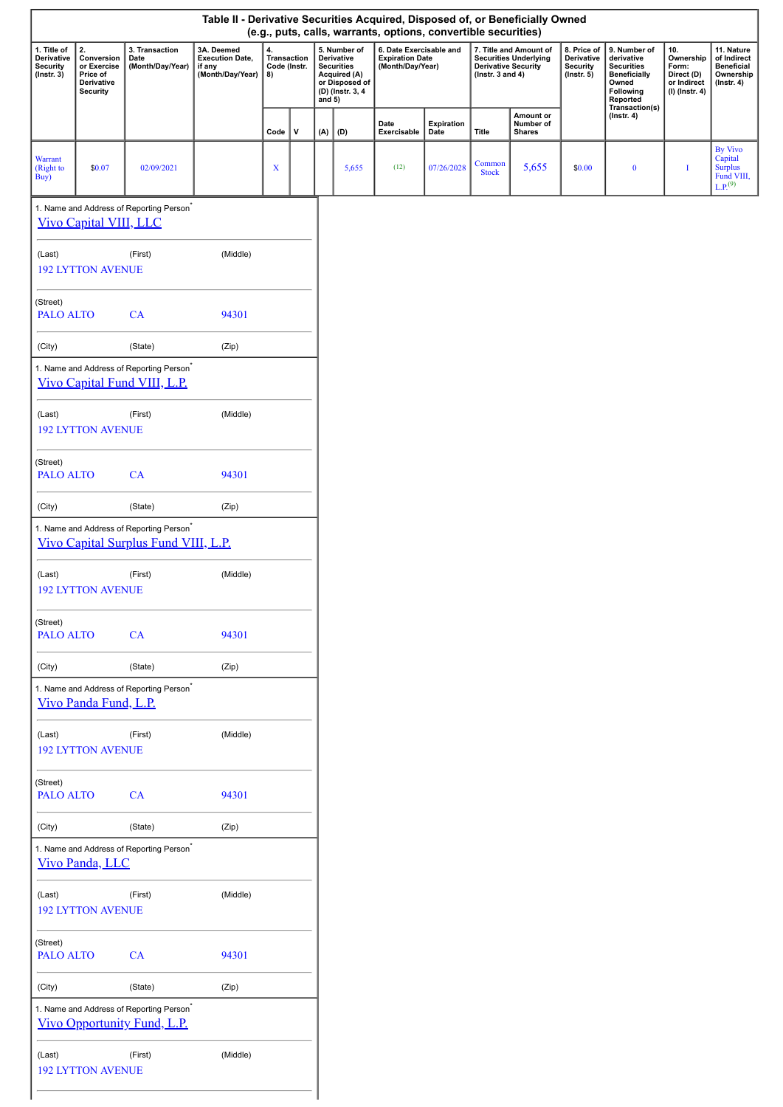| Table II - Derivative Securities Acquired, Disposed of, or Beneficially Owned<br>(e.g., puts, calls, warrants, options, convertible securities) |                                                                              |                                                                                              |                                                                    |                                         |   |             |                                                                                                       |                                                                                                                                                                                |                    |                        |                                                                  |                                                                                                                            |                                                                          |                                                                                 |                                                                                    |
|-------------------------------------------------------------------------------------------------------------------------------------------------|------------------------------------------------------------------------------|----------------------------------------------------------------------------------------------|--------------------------------------------------------------------|-----------------------------------------|---|-------------|-------------------------------------------------------------------------------------------------------|--------------------------------------------------------------------------------------------------------------------------------------------------------------------------------|--------------------|------------------------|------------------------------------------------------------------|----------------------------------------------------------------------------------------------------------------------------|--------------------------------------------------------------------------|---------------------------------------------------------------------------------|------------------------------------------------------------------------------------|
| 1. Title of<br>Derivative<br><b>Security</b><br>$($ Instr. $3)$                                                                                 | 2.<br>Conversion<br>or Exercise<br>Price of<br>Derivative<br><b>Security</b> | 3. Transaction<br>Date<br>(Month/Day/Year)                                                   | 3A. Deemed<br><b>Execution Date,</b><br>if any<br>(Month/Day/Year) | 4.<br>Transaction<br>Code (Instr.<br>8) |   | and $5)$    | 5. Number of<br>Derivative<br><b>Securities</b><br>Acquired (A)<br>or Disposed of<br>(D) (Instr. 3, 4 | 6. Date Exercisable and<br>7. Title and Amount of<br><b>Expiration Date</b><br><b>Securities Underlying</b><br>(Month/Day/Year)<br>Derivative Security<br>( $lnstr. 3 and 4$ ) |                    |                        | 8. Price of<br>Derivative<br><b>Security</b><br>$($ Instr. 5 $)$ | 9. Number of<br>derivative<br><b>Securities</b><br><b>Beneficially</b><br>Owned<br>Following<br>Reported<br>Transaction(s) | 10.<br>Ownership<br>Form:<br>Direct (D)<br>or Indirect<br>(I) (Instr. 4) | 11. Nature<br>of Indirect<br><b>Beneficial</b><br>Ownership<br>$($ Instr. 4 $)$ |                                                                                    |
|                                                                                                                                                 |                                                                              |                                                                                              |                                                                    | Code                                    | v | $(A)$ $(D)$ |                                                                                                       | Date<br>Exercisable                                                                                                                                                            | Expiration<br>Date | <b>Title</b>           | Amount or<br>Number of<br><b>Shares</b>                          |                                                                                                                            | $($ Instr. 4 $)$                                                         |                                                                                 |                                                                                    |
| <b>Warrant</b><br>(Right to<br>Buy)                                                                                                             | \$0.07                                                                       | 02/09/2021                                                                                   |                                                                    | X                                       |   |             | 5,655                                                                                                 | (12)                                                                                                                                                                           | 07/26/2028         | Common<br><b>Stock</b> | 5,655                                                            | \$0.00                                                                                                                     | $\bf{0}$                                                                 | I                                                                               | <b>By Vivo</b><br>Capital<br><b>Surplus</b><br>Fund VIII,<br>$L.P.$ <sup>(9)</sup> |
|                                                                                                                                                 | <b>Vivo Capital VIII, LLC</b>                                                | 1. Name and Address of Reporting Person <sup>®</sup>                                         |                                                                    |                                         |   |             |                                                                                                       |                                                                                                                                                                                |                    |                        |                                                                  |                                                                                                                            |                                                                          |                                                                                 |                                                                                    |
| (Last)                                                                                                                                          | <b>192 LYTTON AVENUE</b>                                                     | (First)                                                                                      | (Middle)                                                           |                                         |   |             |                                                                                                       |                                                                                                                                                                                |                    |                        |                                                                  |                                                                                                                            |                                                                          |                                                                                 |                                                                                    |
| (Street)<br><b>PALO ALTO</b>                                                                                                                    |                                                                              | CA                                                                                           | 94301                                                              |                                         |   |             |                                                                                                       |                                                                                                                                                                                |                    |                        |                                                                  |                                                                                                                            |                                                                          |                                                                                 |                                                                                    |
| (City)                                                                                                                                          |                                                                              | (State)                                                                                      | (Zip)                                                              |                                         |   |             |                                                                                                       |                                                                                                                                                                                |                    |                        |                                                                  |                                                                                                                            |                                                                          |                                                                                 |                                                                                    |
|                                                                                                                                                 |                                                                              | 1. Name and Address of Reporting Person <sup>*</sup><br>Vivo Capital Fund VIII, L.P.         |                                                                    |                                         |   |             |                                                                                                       |                                                                                                                                                                                |                    |                        |                                                                  |                                                                                                                            |                                                                          |                                                                                 |                                                                                    |
| (Last)                                                                                                                                          | <b>192 LYTTON AVENUE</b>                                                     | (First)                                                                                      | (Middle)                                                           |                                         |   |             |                                                                                                       |                                                                                                                                                                                |                    |                        |                                                                  |                                                                                                                            |                                                                          |                                                                                 |                                                                                    |
| (Street)<br><b>PALO ALTO</b>                                                                                                                    |                                                                              | CA                                                                                           | 94301                                                              |                                         |   |             |                                                                                                       |                                                                                                                                                                                |                    |                        |                                                                  |                                                                                                                            |                                                                          |                                                                                 |                                                                                    |
| (City)                                                                                                                                          |                                                                              | (State)                                                                                      | (Zip)                                                              |                                         |   |             |                                                                                                       |                                                                                                                                                                                |                    |                        |                                                                  |                                                                                                                            |                                                                          |                                                                                 |                                                                                    |
|                                                                                                                                                 |                                                                              | 1. Name and Address of Reporting Person <sup>*</sup><br>Vivo Capital Surplus Fund VIII, L.P. |                                                                    |                                         |   |             |                                                                                                       |                                                                                                                                                                                |                    |                        |                                                                  |                                                                                                                            |                                                                          |                                                                                 |                                                                                    |
| (Last)                                                                                                                                          | <b>192 LYTTON AVENUE</b>                                                     | (First)                                                                                      | (Middle)                                                           |                                         |   |             |                                                                                                       |                                                                                                                                                                                |                    |                        |                                                                  |                                                                                                                            |                                                                          |                                                                                 |                                                                                    |
| (Street)<br><b>PALO ALTO</b>                                                                                                                    |                                                                              | CA                                                                                           | 94301                                                              |                                         |   |             |                                                                                                       |                                                                                                                                                                                |                    |                        |                                                                  |                                                                                                                            |                                                                          |                                                                                 |                                                                                    |
| (City)                                                                                                                                          |                                                                              | (State)                                                                                      | (Zip)                                                              |                                         |   |             |                                                                                                       |                                                                                                                                                                                |                    |                        |                                                                  |                                                                                                                            |                                                                          |                                                                                 |                                                                                    |
|                                                                                                                                                 | Vivo Panda Fund, L.P.                                                        | 1. Name and Address of Reporting Person <sup>*</sup>                                         |                                                                    |                                         |   |             |                                                                                                       |                                                                                                                                                                                |                    |                        |                                                                  |                                                                                                                            |                                                                          |                                                                                 |                                                                                    |
| (Last)                                                                                                                                          | <b>192 LYTTON AVENUE</b>                                                     | (First)                                                                                      | (Middle)                                                           |                                         |   |             |                                                                                                       |                                                                                                                                                                                |                    |                        |                                                                  |                                                                                                                            |                                                                          |                                                                                 |                                                                                    |
| (Street)<br><b>PALO ALTO</b>                                                                                                                    |                                                                              | CA                                                                                           | 94301                                                              |                                         |   |             |                                                                                                       |                                                                                                                                                                                |                    |                        |                                                                  |                                                                                                                            |                                                                          |                                                                                 |                                                                                    |
| (City)                                                                                                                                          |                                                                              | (State)                                                                                      | (Zip)                                                              |                                         |   |             |                                                                                                       |                                                                                                                                                                                |                    |                        |                                                                  |                                                                                                                            |                                                                          |                                                                                 |                                                                                    |
|                                                                                                                                                 | Vivo Panda, LLC                                                              | 1. Name and Address of Reporting Person <sup>*</sup>                                         |                                                                    |                                         |   |             |                                                                                                       |                                                                                                                                                                                |                    |                        |                                                                  |                                                                                                                            |                                                                          |                                                                                 |                                                                                    |
| (Last)                                                                                                                                          | <b>192 LYTTON AVENUE</b>                                                     | (First)                                                                                      | (Middle)                                                           |                                         |   |             |                                                                                                       |                                                                                                                                                                                |                    |                        |                                                                  |                                                                                                                            |                                                                          |                                                                                 |                                                                                    |
| (Street)<br><b>PALO ALTO</b>                                                                                                                    |                                                                              | CA                                                                                           | 94301                                                              |                                         |   |             |                                                                                                       |                                                                                                                                                                                |                    |                        |                                                                  |                                                                                                                            |                                                                          |                                                                                 |                                                                                    |
| (City)                                                                                                                                          |                                                                              | (State)                                                                                      | (Zip)                                                              |                                         |   |             |                                                                                                       |                                                                                                                                                                                |                    |                        |                                                                  |                                                                                                                            |                                                                          |                                                                                 |                                                                                    |
|                                                                                                                                                 |                                                                              | 1. Name and Address of Reporting Person <sup>*</sup><br>Vivo Opportunity Fund, L.P.          |                                                                    |                                         |   |             |                                                                                                       |                                                                                                                                                                                |                    |                        |                                                                  |                                                                                                                            |                                                                          |                                                                                 |                                                                                    |
| (Last)                                                                                                                                          | <b>192 LYTTON AVENUE</b>                                                     | (First)                                                                                      | (Middle)                                                           |                                         |   |             |                                                                                                       |                                                                                                                                                                                |                    |                        |                                                                  |                                                                                                                            |                                                                          |                                                                                 |                                                                                    |